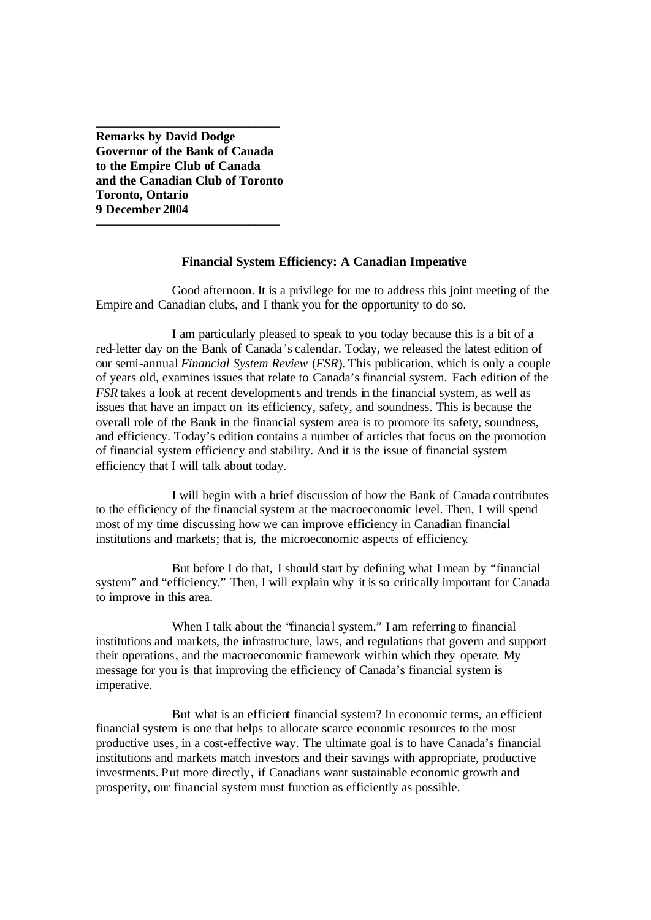**Remarks by David Dodge Governor of the Bank of Canada to the Empire Club of Canada and the Canadian Club of Toronto Toronto, Ontario 9 December 2004 \_\_\_\_\_\_\_\_\_\_\_\_\_\_\_\_\_\_\_\_\_\_\_\_\_\_\_\_\_**

**\_\_\_\_\_\_\_\_\_\_\_\_\_\_\_\_\_\_\_\_\_\_\_\_\_\_\_\_\_**

# **Financial System Efficiency: A Canadian Imperative**

Good afternoon. It is a privilege for me to address this joint meeting of the Empire and Canadian clubs, and I thank you for the opportunity to do so.

I am particularly pleased to speak to you today because this is a bit of a red-letter day on the Bank of Canada's calendar. Today, we released the latest edition of our semi-annual *Financial System Review* (*FSR*). This publication, which is only a couple of years old, examines issues that relate to Canada's financial system. Each edition of the *FSR* takes a look at recent developments and trends in the financial system, as well as issues that have an impact on its efficiency, safety, and soundness. This is because the overall role of the Bank in the financial system area is to promote its safety, soundness, and efficiency. Today's edition contains a number of articles that focus on the promotion of financial system efficiency and stability. And it is the issue of financial system efficiency that I will talk about today.

I will begin with a brief discussion of how the Bank of Canada contributes to the efficiency of the financial system at the macroeconomic level. Then, I will spend most of my time discussing how we can improve efficiency in Canadian financial institutions and markets; that is, the microeconomic aspects of efficiency.

But before I do that, I should start by defining what I mean by "financial system" and "efficiency." Then, I will explain why it is so critically important for Canada to improve in this area.

When I talk about the 'financial system," I am referring to financial institutions and markets, the infrastructure, laws, and regulations that govern and support their operations, and the macroeconomic framework within which they operate. My message for you is that improving the efficiency of Canada's financial system is imperative.

But what is an efficient financial system? In economic terms, an efficient financial system is one that helps to allocate scarce economic resources to the most productive uses, in a cost-effective way. The ultimate goal is to have Canada's financial institutions and markets match investors and their savings with appropriate, productive investments. Put more directly, if Canadians want sustainable economic growth and prosperity, our financial system must function as efficiently as possible.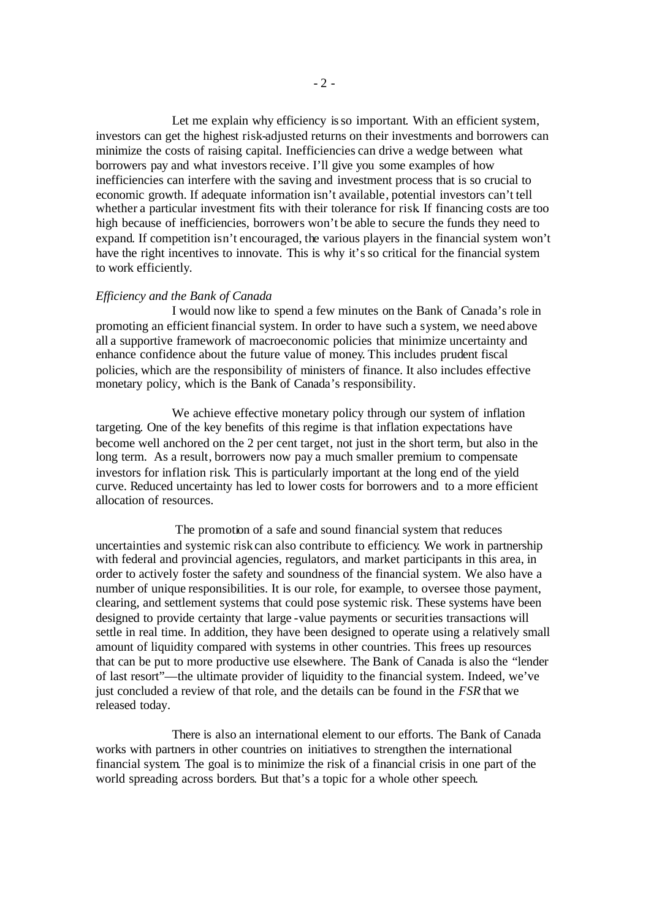Let me explain why efficiency is so important. With an efficient system, investors can get the highest risk-adjusted returns on their investments and borrowers can minimize the costs of raising capital. Inefficiencies can drive a wedge between what borrowers pay and what investors receive. I'll give you some examples of how inefficiencies can interfere with the saving and investment process that is so crucial to economic growth. If adequate information isn't available, potential investors can't tell whether a particular investment fits with their tolerance for risk. If financing costs are too high because of inefficiencies, borrowers won't be able to secure the funds they need to expand. If competition isn't encouraged, the various players in the financial system won't have the right incentives to innovate. This is why it's so critical for the financial system to work efficiently.

## *Efficiency and the Bank of Canada*

I would now like to spend a few minutes on the Bank of Canada's role in promoting an efficient financial system. In order to have such a system, we need above all a supportive framework of macroeconomic policies that minimize uncertainty and enhance confidence about the future value of money. This includes prudent fiscal policies, which are the responsibility of ministers of finance. It also includes effective monetary policy, which is the Bank of Canada's responsibility.

We achieve effective monetary policy through our system of inflation targeting. One of the key benefits of this regime is that inflation expectations have become well anchored on the 2 per cent target, not just in the short term, but also in the long term. As a result, borrowers now pay a much smaller premium to compensate investors for inflation risk. This is particularly important at the long end of the yield curve. Reduced uncertainty has led to lower costs for borrowers and to a more efficient allocation of resources.

The promotion of a safe and sound financial system that reduces uncertainties and systemic risk can also contribute to efficiency. We work in partnership with federal and provincial agencies, regulators, and market participants in this area, in order to actively foster the safety and soundness of the financial system. We also have a number of unique responsibilities. It is our role, for example, to oversee those payment, clearing, and settlement systems that could pose systemic risk. These systems have been designed to provide certainty that large -value payments or securities transactions will settle in real time. In addition, they have been designed to operate using a relatively small amount of liquidity compared with systems in other countries. This frees up resources that can be put to more productive use elsewhere. The Bank of Canada is also the "lender of last resort"—the ultimate provider of liquidity to the financial system. Indeed, we've just concluded a review of that role, and the details can be found in the *FSR* that we released today.

There is also an international element to our efforts. The Bank of Canada works with partners in other countries on initiatives to strengthen the international financial system. The goal is to minimize the risk of a financial crisis in one part of the world spreading across borders. But that's a topic for a whole other speech.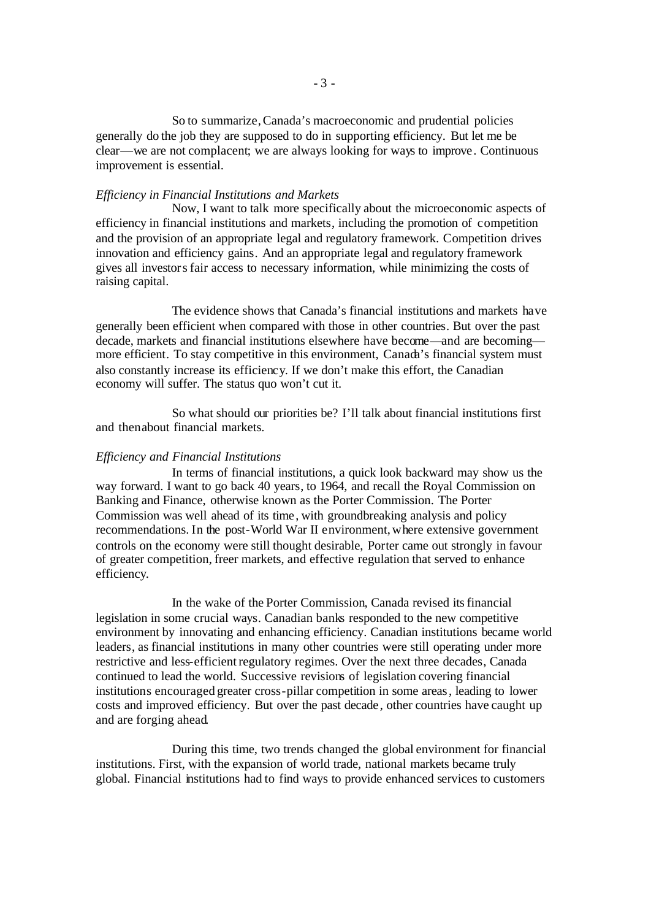So to summarize, Canada's macroeconomic and prudential policies generally do the job they are supposed to do in supporting efficiency. But let me be clear—we are not complacent; we are always looking for ways to improve. Continuous improvement is essential.

#### *Efficiency in Financial Institutions and Markets*

Now, I want to talk more specifically about the microeconomic aspects of efficiency in financial institutions and markets, including the promotion of competition and the provision of an appropriate legal and regulatory framework. Competition drives innovation and efficiency gains. And an appropriate legal and regulatory framework gives all investors fair access to necessary information, while minimizing the costs of raising capital.

The evidence shows that Canada's financial institutions and markets have generally been efficient when compared with those in other countries. But over the past decade, markets and financial institutions elsewhere have become—and are becoming more efficient. To stay competitive in this environment, Canada's financial system must also constantly increase its efficiency. If we don't make this effort, the Canadian economy will suffer. The status quo won't cut it.

So what should our priorities be? I'll talk about financial institutions first and thenabout financial markets.

## *Efficiency and Financial Institutions*

In terms of financial institutions, a quick look backward may show us the way forward. I want to go back 40 years, to 1964, and recall the Royal Commission on Banking and Finance, otherwise known as the Porter Commission. The Porter Commission was well ahead of its time, with groundbreaking analysis and policy recommendations. In the post-World War II environment, where extensive government controls on the economy were still thought desirable, Porter came out strongly in favour of greater competition, freer markets, and effective regulation that served to enhance efficiency.

In the wake of the Porter Commission, Canada revised its financial legislation in some crucial ways. Canadian banks responded to the new competitive environment by innovating and enhancing efficiency. Canadian institutions became world leaders, as financial institutions in many other countries were still operating under more restrictive and less-efficient regulatory regimes. Over the next three decades, Canada continued to lead the world. Successive revisions of legislation covering financial institutions encouraged greater cross-pillar competition in some areas, leading to lower costs and improved efficiency. But over the past decade , other countries have caught up and are forging ahead.

During this time, two trends changed the global environment for financial institutions. First, with the expansion of world trade, national markets became truly global. Financial institutions had to find ways to provide enhanced services to customers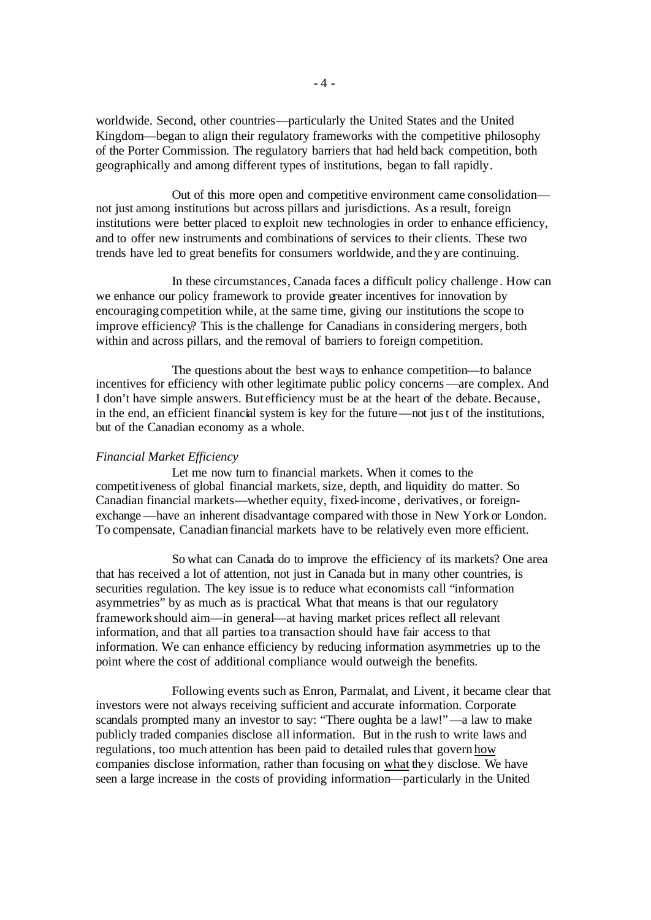worldwide. Second, other countries—particularly the United States and the United Kingdom—began to align their regulatory frameworks with the competitive philosophy of the Porter Commission. The regulatory barriers that had held back competition, both geographically and among different types of institutions, began to fall rapidly.

Out of this more open and competitive environment came consolidation not just among institutions but across pillars and jurisdictions. As a result, foreign institutions were better placed to exploit new technologies in order to enhance efficiency, and to offer new instruments and combinations of services to their clients. These two trends have led to great benefits for consumers worldwide, and they are continuing.

In these circumstances, Canada faces a difficult policy challenge . How can we enhance our policy framework to provide greater incentives for innovation by encouraging competition while, at the same time, giving our institutions the scope to improve efficiency? This isthe challenge for Canadians in considering mergers, both within and across pillars, and the removal of barriers to foreign competition.

The questions about the best ways to enhance competition—to balance incentives for efficiency with other legitimate public policy concerns —are complex. And I don't have simple answers. But efficiency must be at the heart of the debate. Because, in the end, an efficient financial system is key for the future—not just of the institutions, but of the Canadian economy as a whole.

#### *Financial Market Efficiency*

Let me now turn to financial markets. When it comes to the competitiveness of global financial markets, size, depth, and liquidity do matter. So Canadian financial markets—whether equity, fixed-income, derivatives, or foreignexchange—have an inherent disadvantage compared with those in New York or London. To compensate, Canadian financial markets have to be relatively even more efficient.

So what can Canada do to improve the efficiency of its markets? One area that has received a lot of attention, not just in Canada but in many other countries, is securities regulation. The key issue is to reduce what economists call "information asymmetries" by as much as is practical. What that means is that our regulatory framework should aim—in general—at having market prices reflect all relevant information, and that all parties to a transaction should have fair access to that information. We can enhance efficiency by reducing information asymmetries up to the point where the cost of additional compliance would outweigh the benefits.

Following events such as Enron, Parmalat, and Livent, it became clear that investors were not always receiving sufficient and accurate information. Corporate scandals prompted many an investor to say: "There oughta be a law!"—a law to make publicly traded companies disclose all information. But in the rush to write laws and regulations, too much attention has been paid to detailed rules that govern how companies disclose information, rather than focusing on what they disclose. We have seen a large increase in the costs of providing information—particularly in the United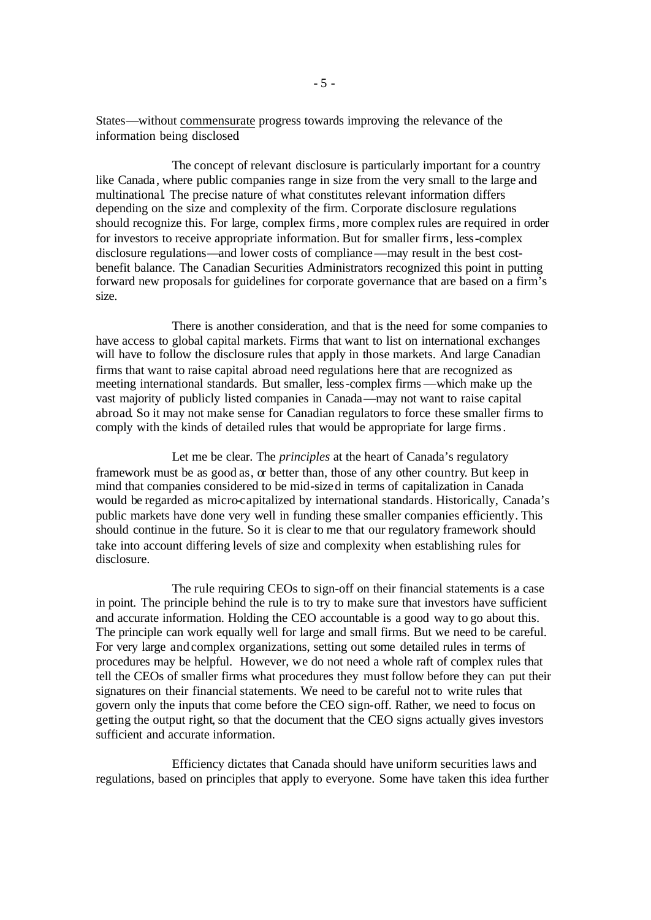States—without commensurate progress towards improving the relevance of the information being disclosed.

The concept of relevant disclosure is particularly important for a country like Canada , where public companies range in size from the very small to the large and multinational. The precise nature of what constitutes relevant information differs depending on the size and complexity of the firm. Corporate disclosure regulations should recognize this. For large, complex firms, more complex rules are required in order for investors to receive appropriate information. But for smaller firms, less-complex disclosure regulations—and lower costs of compliance—may result in the best costbenefit balance. The Canadian Securities Administrators recognized this point in putting forward new proposals for guidelines for corporate governance that are based on a firm's size.

There is another consideration, and that is the need for some companies to have access to global capital markets. Firms that want to list on international exchanges will have to follow the disclosure rules that apply in those markets. And large Canadian firms that want to raise capital abroad need regulations here that are recognized as meeting international standards. But smaller, less-complex firms —which make up the vast majority of publicly listed companies in Canada—may not want to raise capital abroad. So it may not make sense for Canadian regulators to force these smaller firms to comply with the kinds of detailed rules that would be appropriate for large firms.

Let me be clear. The *principles* at the heart of Canada's regulatory framework must be as good as, or better than, those of any other country. But keep in mind that companies considered to be mid-sized in terms of capitalization in Canada would be regarded as micro-capitalized by international standards. Historically, Canada's public markets have done very well in funding these smaller companies efficiently. This should continue in the future. So it is clear to me that our regulatory framework should take into account differing levels of size and complexity when establishing rules for disclosure.

The rule requiring CEOs to sign-off on their financial statements is a case in point. The principle behind the rule is to try to make sure that investors have sufficient and accurate information. Holding the CEO accountable is a good way to go about this. The principle can work equally well for large and small firms. But we need to be careful. For very large and complex organizations, setting out some detailed rules in terms of procedures may be helpful. However, we do not need a whole raft of complex rules that tell the CEOs of smaller firms what procedures they must follow before they can put their signatures on their financial statements. We need to be careful not to write rules that govern only the inputs that come before the CEO sign-off. Rather, we need to focus on getting the output right, so that the document that the CEO signs actually gives investors sufficient and accurate information.

Efficiency dictates that Canada should have uniform securities laws and regulations, based on principles that apply to everyone. Some have taken this idea further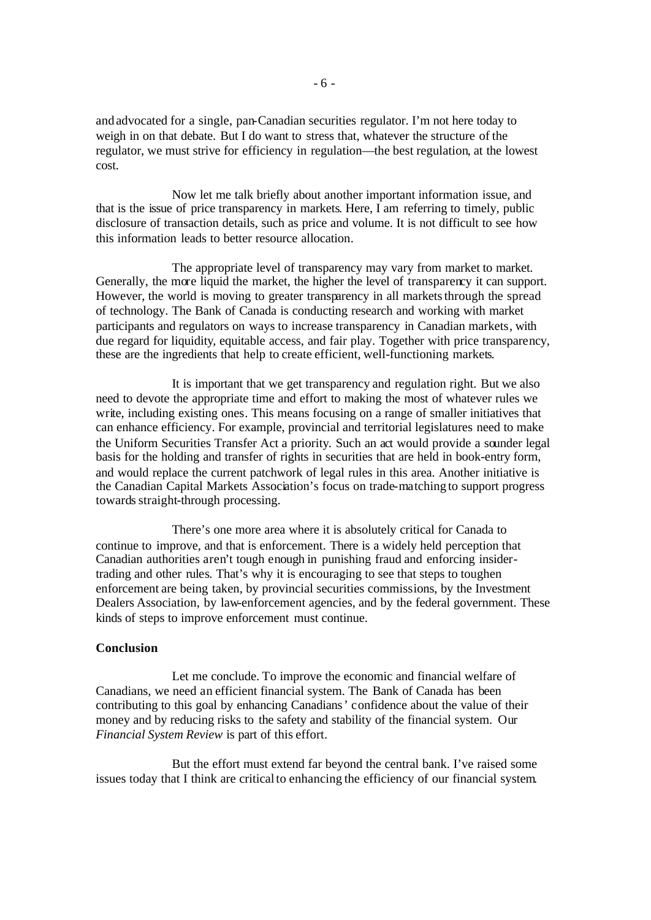and advocated for a single, pan-Canadian securities regulator. I'm not here today to weigh in on that debate. But I do want to stress that, whatever the structure of the regulator, we must strive for efficiency in regulation—the best regulation, at the lowest cost.

Now let me talk briefly about another important information issue, and that is the issue of price transparency in markets. Here, I am referring to timely, public disclosure of transaction details, such as price and volume. It is not difficult to see how this information leads to better resource allocation.

The appropriate level of transparency may vary from market to market. Generally, the more liquid the market, the higher the level of transparency it can support. However, the world is moving to greater transparency in all markets through the spread of technology. The Bank of Canada is conducting research and working with market participants and regulators on ways to increase transparency in Canadian markets, with due regard for liquidity, equitable access, and fair play. Together with price transparency, these are the ingredients that help to create efficient, well-functioning markets.

It is important that we get transparency and regulation right. But we also need to devote the appropriate time and effort to making the most of whatever rules we write, including existing ones. This means focusing on a range of smaller initiatives that can enhance efficiency. For example, provincial and territorial legislatures need to make the Uniform Securities Transfer Act a priority. Such an act would provide a sounder legal basis for the holding and transfer of rights in securities that are held in book-entry form, and would replace the current patchwork of legal rules in this area. Another initiative is the Canadian Capital Markets Association's focus on trade-matching to support progress towards straight-through processing.

There's one more area where it is absolutely critical for Canada to continue to improve, and that is enforcement. There is a widely held perception that Canadian authorities aren't tough enough in punishing fraud and enforcing insidertrading and other rules. That's why it is encouraging to see that steps to toughen enforcement are being taken, by provincial securities commissions, by the Investment Dealers Association, by law-enforcement agencies, and by the federal government. These kinds of steps to improve enforcement must continue.

### **Conclusion**

Let me conclude. To improve the economic and financial welfare of Canadians, we need an efficient financial system. The Bank of Canada has been contributing to this goal by enhancing Canadians' confidence about the value of their money and by reducing risks to the safety and stability of the financial system. Our *Financial System Review* is part of this effort.

But the effort must extend far beyond the central bank. I've raised some issues today that I think are critical to enhancing the efficiency of our financial system.